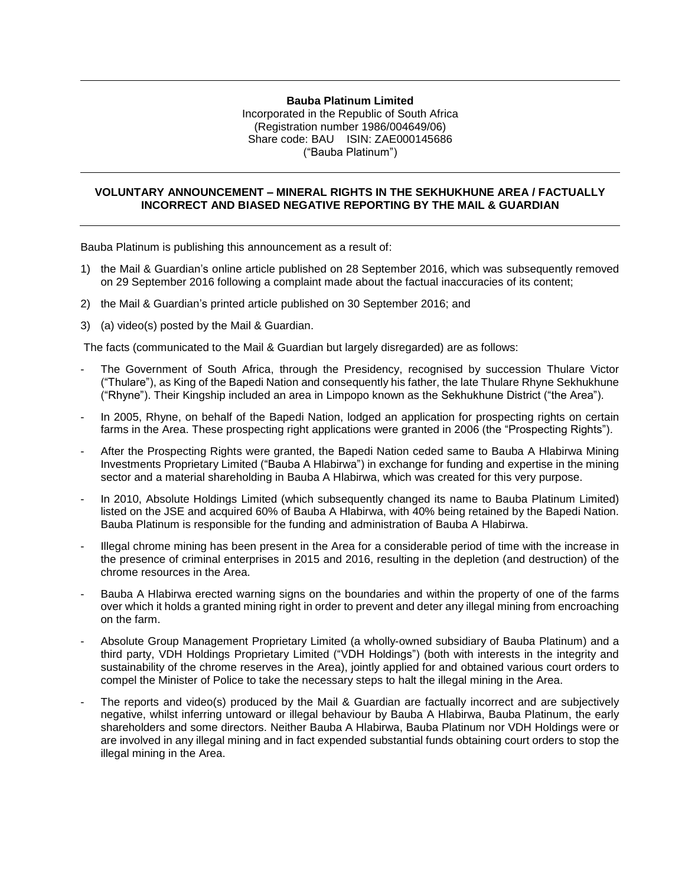## **Bauba Platinum Limited**

Incorporated in the Republic of South Africa (Registration number 1986/004649/06) Share code: BAU ISIN: ZAE000145686 ("Bauba Platinum")

## **VOLUNTARY ANNOUNCEMENT – MINERAL RIGHTS IN THE SEKHUKHUNE AREA / FACTUALLY INCORRECT AND BIASED NEGATIVE REPORTING BY THE MAIL & GUARDIAN**

Bauba Platinum is publishing this announcement as a result of:

- 1) the Mail & Guardian's online article published on 28 September 2016, which was subsequently removed on 29 September 2016 following a complaint made about the factual inaccuracies of its content;
- 2) the Mail & Guardian's printed article published on 30 September 2016; and
- 3) (a) video(s) posted by the Mail & Guardian.

The facts (communicated to the Mail & Guardian but largely disregarded) are as follows:

- The Government of South Africa, through the Presidency, recognised by succession Thulare Victor ("Thulare"), as King of the Bapedi Nation and consequently his father, the late Thulare Rhyne Sekhukhune ("Rhyne"). Their Kingship included an area in Limpopo known as the Sekhukhune District ("the Area").
- In 2005, Rhyne, on behalf of the Bapedi Nation, lodged an application for prospecting rights on certain farms in the Area. These prospecting right applications were granted in 2006 (the "Prospecting Rights").
- After the Prospecting Rights were granted, the Bapedi Nation ceded same to Bauba A Hlabirwa Mining Investments Proprietary Limited ("Bauba A Hlabirwa") in exchange for funding and expertise in the mining sector and a material shareholding in Bauba A Hlabirwa, which was created for this very purpose.
- In 2010, Absolute Holdings Limited (which subsequently changed its name to Bauba Platinum Limited) listed on the JSE and acquired 60% of Bauba A Hlabirwa, with 40% being retained by the Bapedi Nation. Bauba Platinum is responsible for the funding and administration of Bauba A Hlabirwa.
- Illegal chrome mining has been present in the Area for a considerable period of time with the increase in the presence of criminal enterprises in 2015 and 2016, resulting in the depletion (and destruction) of the chrome resources in the Area.
- Bauba A Hlabirwa erected warning signs on the boundaries and within the property of one of the farms over which it holds a granted mining right in order to prevent and deter any illegal mining from encroaching on the farm.
- Absolute Group Management Proprietary Limited (a wholly-owned subsidiary of Bauba Platinum) and a third party, VDH Holdings Proprietary Limited ("VDH Holdings") (both with interests in the integrity and sustainability of the chrome reserves in the Area), jointly applied for and obtained various court orders to compel the Minister of Police to take the necessary steps to halt the illegal mining in the Area.
- The reports and video(s) produced by the Mail & Guardian are factually incorrect and are subjectively negative, whilst inferring untoward or illegal behaviour by Bauba A Hlabirwa, Bauba Platinum, the early shareholders and some directors. Neither Bauba A Hlabirwa, Bauba Platinum nor VDH Holdings were or are involved in any illegal mining and in fact expended substantial funds obtaining court orders to stop the illegal mining in the Area.